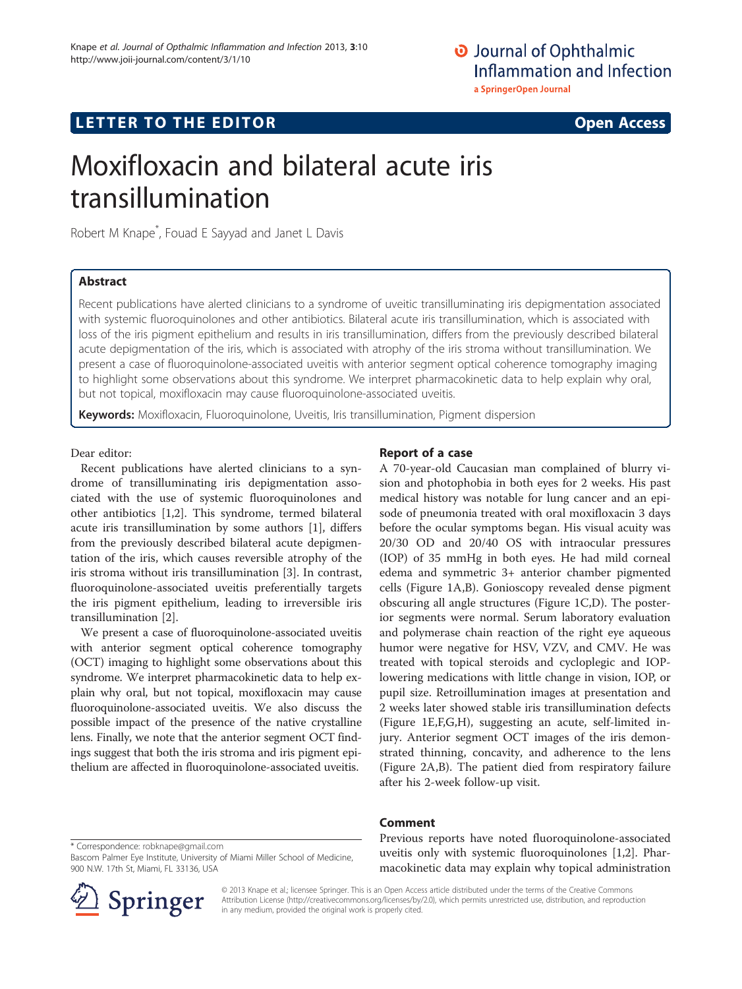O Journal of Ophthalmic Inflammation and Infection a SpringerOpen Journal

# $\mathbf{L} = \mathbf{L} \mathbf{L}$  to the EDI TOR open  $\mathbf{L} = \mathbf{L} \mathbf{L}$

# Moxifloxacin and bilateral acute iris transillumination

Robert M Knape\* , Fouad E Sayyad and Janet L Davis

## **Abstract**

Recent publications have alerted clinicians to a syndrome of uveitic transilluminating iris depigmentation associated with systemic fluoroquinolones and other antibiotics. Bilateral acute iris transillumination, which is associated with loss of the iris pigment epithelium and results in iris transillumination, differs from the previously described bilateral acute depigmentation of the iris, which is associated with atrophy of the iris stroma without transillumination. We present a case of fluoroquinolone-associated uveitis with anterior segment optical coherence tomography imaging to highlight some observations about this syndrome. We interpret pharmacokinetic data to help explain why oral, but not topical, moxifloxacin may cause fluoroquinolone-associated uveitis.

Keywords: Moxifloxacin, Fluoroquinolone, Uveitis, Iris transillumination, Pigment dispersion

## Dear editor:

Recent publications have alerted clinicians to a syndrome of transilluminating iris depigmentation associated with the use of systemic fluoroquinolones and other antibiotics [[1,2\]](#page-2-0). This syndrome, termed bilateral acute iris transillumination by some authors [[1\]](#page-2-0), differs from the previously described bilateral acute depigmentation of the iris, which causes reversible atrophy of the iris stroma without iris transillumination [\[3](#page-2-0)]. In contrast, fluoroquinolone-associated uveitis preferentially targets the iris pigment epithelium, leading to irreversible iris transillumination [\[2\]](#page-2-0).

We present a case of fluoroquinolone-associated uveitis with anterior segment optical coherence tomography (OCT) imaging to highlight some observations about this syndrome. We interpret pharmacokinetic data to help explain why oral, but not topical, moxifloxacin may cause fluoroquinolone-associated uveitis. We also discuss the possible impact of the presence of the native crystalline lens. Finally, we note that the anterior segment OCT findings suggest that both the iris stroma and iris pigment epithelium are affected in fluoroquinolone-associated uveitis.

A 70-year-old Caucasian man complained of blurry vision and photophobia in both eyes for 2 weeks. His past medical history was notable for lung cancer and an episode of pneumonia treated with oral moxifloxacin 3 days before the ocular symptoms began. His visual acuity was 20/30 OD and 20/40 OS with intraocular pressures (IOP) of 35 mmHg in both eyes. He had mild corneal edema and symmetric 3+ anterior chamber pigmented cells (Figure [1A](#page-1-0),B). Gonioscopy revealed dense pigment obscuring all angle structures (Figure [1C,](#page-1-0)D). The posterior segments were normal. Serum laboratory evaluation and polymerase chain reaction of the right eye aqueous humor were negative for HSV, VZV, and CMV. He was treated with topical steroids and cycloplegic and IOPlowering medications with little change in vision, IOP, or pupil size. Retroillumination images at presentation and 2 weeks later showed stable iris transillumination defects (Figure [1E](#page-1-0),F,G,H), suggesting an acute, self-limited injury. Anterior segment OCT images of the iris demonstrated thinning, concavity, and adherence to the lens (Figure [2A,](#page-2-0)B). The patient died from respiratory failure after his 2-week follow-up visit.

Previous reports have noted fluoroquinolone-associated uveitis only with systemic fluoroquinolones [[1,2\]](#page-2-0). Pharmacokinetic data may explain why topical administration



© 2013 Knape et al.; licensee Springer. This is an Open Access article distributed under the terms of the Creative Commons Attribution License [\(http://creativecommons.org/licenses/by/2.0\)](http://creativecommons.org/licenses/by/2.0), which permits unrestricted use, distribution, and reproduction in any medium, provided the original work is properly cited.

<sup>\*</sup> Correspondence: [robknape@gmail.com](mailto:robknape@gmail.com) Bascom Palmer Eye Institute, University of Miami Miller School of Medicine, 900 N.W. 17th St, Miami, FL 33136, USA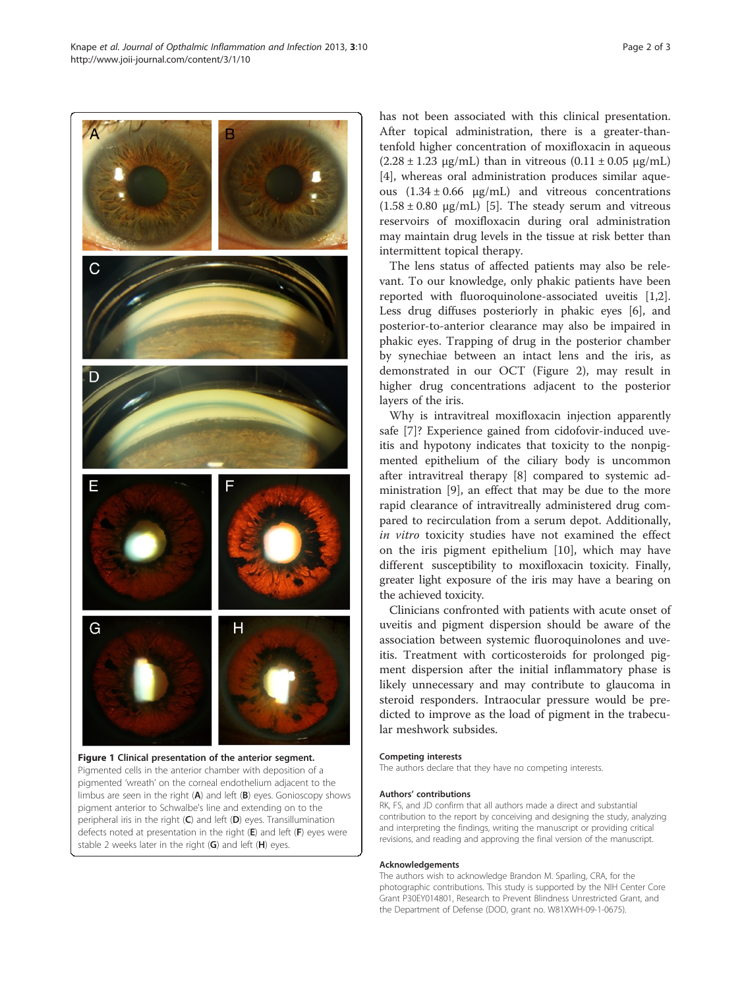<span id="page-1-0"></span>Knape et al. Journal of Opthalmic Inflammation and Infection 2013, 3:10 Page 2 of 3 http://www.joii-journal.com/content/3/1/10



limbus are seen in the right (A) and left (B) eyes. Gonioscopy shows pigment anterior to Schwalbe's line and extending on to the peripheral iris in the right (C) and left (D) eyes. Transillumination defects noted at presentation in the right (E) and left (F) eyes were stable 2 weeks later in the right  $(G)$  and left  $(H)$  eyes.

has not been associated with this clinical presentation. After topical administration, there is a greater-thantenfold higher concentration of moxifloxacin in aqueous  $(2.28 \pm 1.23 \,\mu$ g/mL) than in vitreous  $(0.11 \pm 0.05 \,\mu$ g/mL) [[4\]](#page-2-0), whereas oral administration produces similar aqueous  $(1.34 \pm 0.66 \text{ μg/mL})$  and vitreous concentrations  $(1.58 \pm 0.80 \text{ µg/mL})$  [\[5](#page-2-0)]. The steady serum and vitreous reservoirs of moxifloxacin during oral administration may maintain drug levels in the tissue at risk better than intermittent topical therapy.

The lens status of affected patients may also be relevant. To our knowledge, only phakic patients have been reported with fluoroquinolone-associated uveitis [\[1,2](#page-2-0)]. Less drug diffuses posteriorly in phakic eyes [[6\]](#page-2-0), and posterior-to-anterior clearance may also be impaired in phakic eyes. Trapping of drug in the posterior chamber by synechiae between an intact lens and the iris, as demonstrated in our OCT (Figure [2\)](#page-2-0), may result in higher drug concentrations adjacent to the posterior layers of the iris.

Why is intravitreal moxifloxacin injection apparently safe [\[7\]](#page-2-0)? Experience gained from cidofovir-induced uveitis and hypotony indicates that toxicity to the nonpigmented epithelium of the ciliary body is uncommon after intravitreal therapy [\[8](#page-2-0)] compared to systemic administration [[9\]](#page-2-0), an effect that may be due to the more rapid clearance of intravitreally administered drug compared to recirculation from a serum depot. Additionally, in vitro toxicity studies have not examined the effect on the iris pigment epithelium [[10\]](#page-2-0), which may have different susceptibility to moxifloxacin toxicity. Finally, greater light exposure of the iris may have a bearing on the achieved toxicity.

Clinicians confronted with patients with acute onset of uveitis and pigment dispersion should be aware of the association between systemic fluoroquinolones and uveitis. Treatment with corticosteroids for prolonged pigment dispersion after the initial inflammatory phase is likely unnecessary and may contribute to glaucoma in steroid responders. Intraocular pressure would be predicted to improve as the load of pigment in the trabecular meshwork subsides.

### Competing interests

The authors declare that they have no competing interests.

#### Authors' contributions

RK, FS, and JD confirm that all authors made a direct and substantial contribution to the report by conceiving and designing the study, analyzing and interpreting the findings, writing the manuscript or providing critical revisions, and reading and approving the final version of the manuscript.

#### Acknowledgements

The authors wish to acknowledge Brandon M. Sparling, CRA, for the photographic contributions. This study is supported by the NIH Center Core Grant P30EY014801, Research to Prevent Blindness Unrestricted Grant, and the Department of Defense (DOD, grant no. W81XWH-09-1-0675).